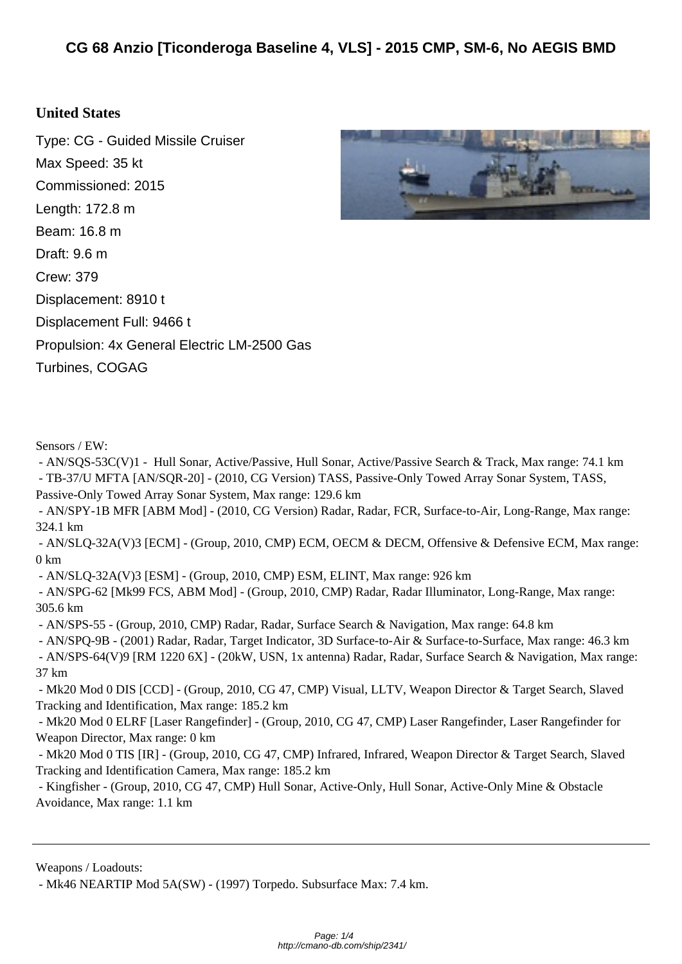## **Unit[ed States](http://cmano-db.com/ship/2341/)**

Type: CG - Guided Missile Cruiser Max Speed: 35 kt Commissioned: 2015 Length: 172.8 m Beam: 16.8 m Draft: 9.6 m Crew: 379 Displacement: 8910 t Displacement Full: 9466 t Propulsion: 4x General Electric LM-2500 Gas Turbines, COGAG



 - AN/SQS-53C(V)1 - Hull Sonar, Active/Passive, Hull Sonar, Active/Passive Search & Track, Max range: 74.1 km - TB-37/U MFTA [AN/SQR-20] - (2010, CG Version) TASS, Passive-Only Towed Array Sonar System, TASS, Passive-Only Towed Array Sonar System, Max range: 129.6 km - AN/SPY-1B MFR [ABM Mod] - (2010, CG Version) Radar, Radar, FCR, Surface-to-Air, Long-Range, Max range: 324.1 km - AN/SLQ-32A(V)3 [ECM] - (Group, 2010, CMP) ECM, OECM & DECM, Offensive & Defensive ECM, Max range: 0 km - AN/SLQ-32A(V)3 [ESM] - (Group, 2010, CMP) ESM, ELINT, Max range: 926 km - AN/SPG-62 [Mk99 FCS, ABM Mod] - (Group, 2010, CMP) Radar, Radar Illuminator, Long-Range, Max range: 305.6 km - AN/SPS-55 - (Group, 2010, CMP) Radar, Radar, Surface Search & Navigation, Max range: 64.8 km - AN/SPQ-9B - (2001) Radar, Radar, Target Indicator, 3D Surface-to-Air & Surface-to-Surface, Max range: 46.3 km - AN/SPS-64(V)9 [RM 1220 6X] - (20kW, USN, 1x antenna) Radar, Radar, Surface Search & Navigation, Max range: 37 km - Mk20 Mod 0 DIS [CCD] - (Group, 2010, CG 47, CMP) Visual, LLTV, Weapon Director & Target Search, Slaved Tracking and Identification, Max range: 185.2 km - Mk20 Mod 0 ELRF [Laser Rangefinder] - (Group, 2010, CG 47, CMP) Laser Rangefinder, Laser Rangefinder for Weapon Director, Max range: 0 km

 - Mk20 Mod 0 TIS [IR] - (Group, 2010, CG 47, CMP) Infrared, Infrared, Weapon Director & Target Search, Slaved Tracking and Identification Camera, Max range: 185.2 km

 - Kingfisher - (Group, 2010, CG 47, CMP) Hull Sonar, Active-Only, Hull Sonar, Active-Only Mine & Obstacle Avoidance, Max range: 1.1 km

Weapons / Loadouts:

- Mk46 NEARTIP Mod 5A(SW) - (1997) Torpedo. Subsurface Max: 7.4 km.

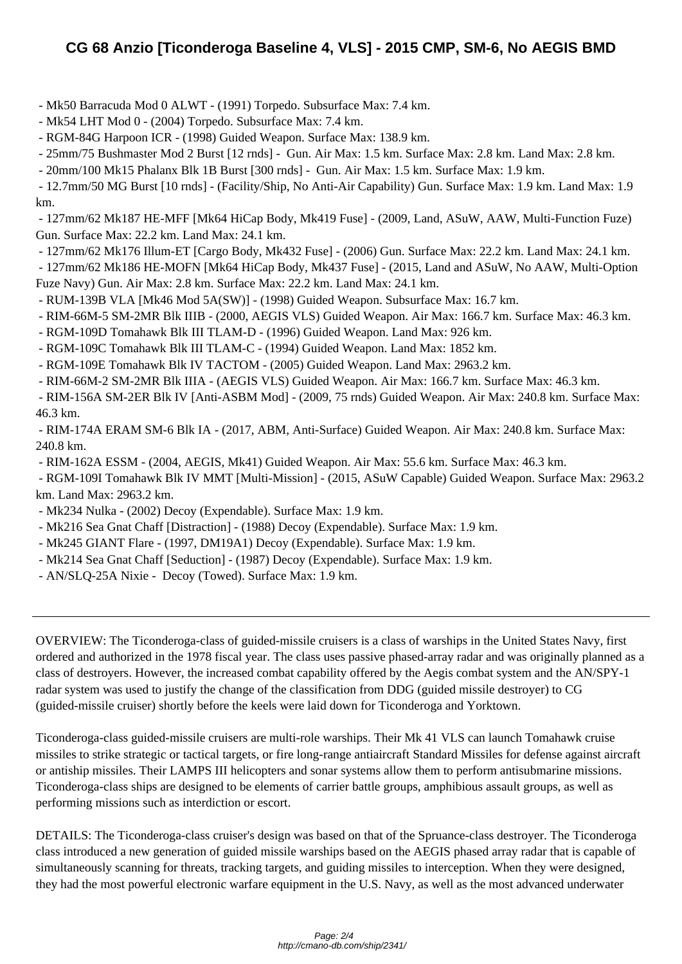- Mk[50 Barracuda Mod 0 ALWT \(1991\) Torpedo. Subsurface Max: 7.4 km.](http://cmano-db.com/ship/2341/)
- Mk54 LHT Mod 0 (2004) Torpedo. Subsurface Max: 7.4 km.
- RGM-84G Harpoon ICR (1998) Guided Weapon. Surface Max: 138.9 km.

- 25mm/75 Bushmaster Mod 2 Burst [12 rnds] - Gun. Air Max: 1.5 km. Surface Max: 2.8 km. Land Max: 2.8 km.

- 20mm/100 Mk15 Phalanx Blk 1B Burst [300 rnds] - Gun. Air Max: 1.5 km. Surface Max: 1.9 km.

 - 12.7mm/50 MG Burst [10 rnds] - (Facility/Ship, No Anti-Air Capability) Gun. Surface Max: 1.9 km. Land Max: 1.9 km.

 - 127mm/62 Mk187 HE-MFF [Mk64 HiCap Body, Mk419 Fuse] - (2009, Land, ASuW, AAW, Multi-Function Fuze) Gun. Surface Max: 22.2 km. Land Max: 24.1 km.

- 127mm/62 Mk176 Illum-ET [Cargo Body, Mk432 Fuse] - (2006) Gun. Surface Max: 22.2 km. Land Max: 24.1 km.

 - 127mm/62 Mk186 HE-MOFN [Mk64 HiCap Body, Mk437 Fuse] - (2015, Land and ASuW, No AAW, Multi-Option Fuze Navy) Gun. Air Max: 2.8 km. Surface Max: 22.2 km. Land Max: 24.1 km.

- RUM-139B VLA [Mk46 Mod 5A(SW)] (1998) Guided Weapon. Subsurface Max: 16.7 km.
- RIM-66M-5 SM-2MR Blk IIIB (2000, AEGIS VLS) Guided Weapon. Air Max: 166.7 km. Surface Max: 46.3 km.
- RGM-109D Tomahawk Blk III TLAM-D (1996) Guided Weapon. Land Max: 926 km.
- RGM-109C Tomahawk Blk III TLAM-C (1994) Guided Weapon. Land Max: 1852 km.
- RGM-109E Tomahawk Blk IV TACTOM (2005) Guided Weapon. Land Max: 2963.2 km.
- RIM-66M-2 SM-2MR Blk IIIA (AEGIS VLS) Guided Weapon. Air Max: 166.7 km. Surface Max: 46.3 km.

 - RIM-156A SM-2ER Blk IV [Anti-ASBM Mod] - (2009, 75 rnds) Guided Weapon. Air Max: 240.8 km. Surface Max: 46.3 km.

 - RIM-174A ERAM SM-6 Blk IA - (2017, ABM, Anti-Surface) Guided Weapon. Air Max: 240.8 km. Surface Max: 240.8 km.

- RIM-162A ESSM - (2004, AEGIS, Mk41) Guided Weapon. Air Max: 55.6 km. Surface Max: 46.3 km.

 - RGM-109I Tomahawk Blk IV MMT [Multi-Mission] - (2015, ASuW Capable) Guided Weapon. Surface Max: 2963.2 km. Land Max: 2963.2 km.

- Mk234 Nulka - (2002) Decoy (Expendable). Surface Max: 1.9 km.

- Mk216 Sea Gnat Chaff [Distraction] (1988) Decoy (Expendable). Surface Max: 1.9 km.
- Mk245 GIANT Flare (1997, DM19A1) Decoy (Expendable). Surface Max: 1.9 km.
- Mk214 Sea Gnat Chaff [Seduction] (1987) Decoy (Expendable). Surface Max: 1.9 km.
- AN/SLQ-25A Nixie Decoy (Towed). Surface Max: 1.9 km.

OVERVIEW: The Ticonderoga-class of guided-missile cruisers is a class of warships in the United States Navy, first ordered and authorized in the 1978 fiscal year. The class uses passive phased-array radar and was originally planned as a class of destroyers. However, the increased combat capability offered by the Aegis combat system and the AN/SPY-1 radar system was used to justify the change of the classification from DDG (guided missile destroyer) to CG (guided-missile cruiser) shortly before the keels were laid down for Ticonderoga and Yorktown.

Ticonderoga-class guided-missile cruisers are multi-role warships. Their Mk 41 VLS can launch Tomahawk cruise missiles to strike strategic or tactical targets, or fire long-range antiaircraft Standard Missiles for defense against aircraft or antiship missiles. Their LAMPS III helicopters and sonar systems allow them to perform antisubmarine missions. Ticonderoga-class ships are designed to be elements of carrier battle groups, amphibious assault groups, as well as performing missions such as interdiction or escort.

DETAILS: The Ticonderoga-class cruiser's design was based on that of the Spruance-class destroyer. The Ticonderoga class introduced a new generation of guided missile warships based on the AEGIS phased array radar that is capable of simultaneously scanning for threats, tracking targets, and guiding missiles to interception. When they were designed, they had the most powerful electronic warfare equipment in the U.S. Navy, as well as the most advanced underwater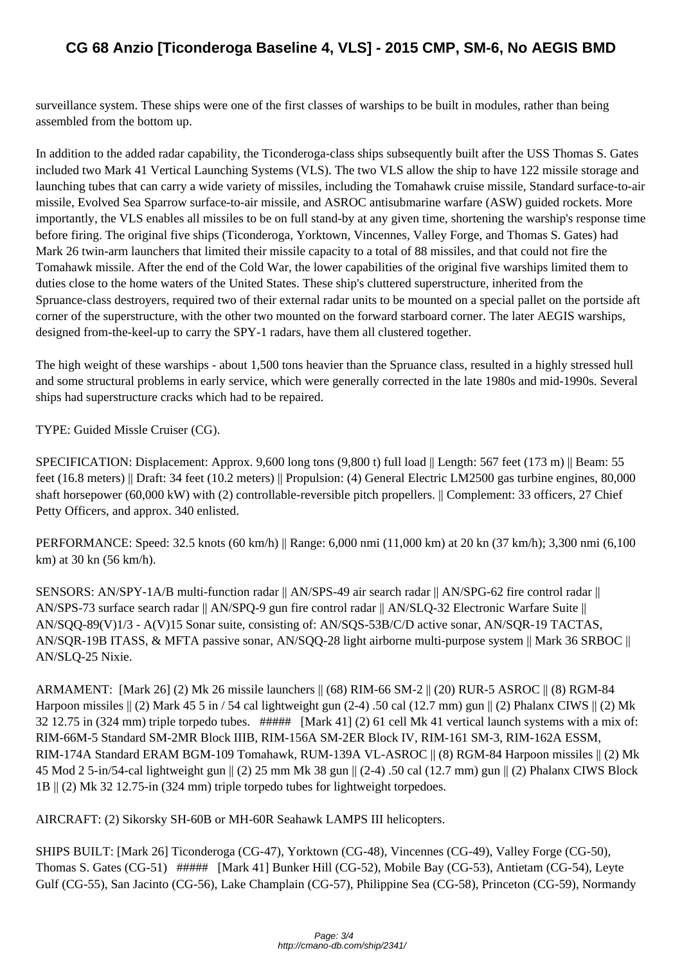surve[illance system. These ships were one of the first classes of warships to be built in modules, rather than being](http://cmano-db.com/ship/2341/) assembled from the bottom up.

In addition to the added radar capability, the Ticonderoga-class ships subsequently built after the USS Thomas S. Gates included two Mark 41 Vertical Launching Systems (VLS). The two VLS allow the ship to have 122 missile storage and launching tubes that can carry a wide variety of missiles, including the Tomahawk cruise missile, Standard surface-to-air missile, Evolved Sea Sparrow surface-to-air missile, and ASROC antisubmarine warfare (ASW) guided rockets. More importantly, the VLS enables all missiles to be on full stand-by at any given time, shortening the warship's response time before firing. The original five ships (Ticonderoga, Yorktown, Vincennes, Valley Forge, and Thomas S. Gates) had Mark 26 twin-arm launchers that limited their missile capacity to a total of 88 missiles, and that could not fire the Tomahawk missile. After the end of the Cold War, the lower capabilities of the original five warships limited them to duties close to the home waters of the United States. These ship's cluttered superstructure, inherited from the Spruance-class destroyers, required two of their external radar units to be mounted on a special pallet on the portside aft corner of the superstructure, with the other two mounted on the forward starboard corner. The later AEGIS warships, designed from-the-keel-up to carry the SPY-1 radars, have them all clustered together.

The high weight of these warships - about 1,500 tons heavier than the Spruance class, resulted in a highly stressed hull and some structural problems in early service, which were generally corrected in the late 1980s and mid-1990s. Several ships had superstructure cracks which had to be repaired.

TYPE: Guided Missle Cruiser (CG).

SPECIFICATION: Displacement: Approx. 9,600 long tons (9,800 t) full load || Length: 567 feet (173 m) || Beam: 55 feet (16.8 meters) || Draft: 34 feet (10.2 meters) || Propulsion: (4) General Electric LM2500 gas turbine engines, 80,000 shaft horsepower (60,000 kW) with (2) controllable-reversible pitch propellers. || Complement: 33 officers, 27 Chief Petty Officers, and approx. 340 enlisted.

PERFORMANCE: Speed: 32.5 knots (60 km/h) || Range: 6,000 nmi (11,000 km) at 20 kn (37 km/h); 3,300 nmi (6,100 km) at 30 kn (56 km/h).

SENSORS: AN/SPY-1A/B multi-function radar || AN/SPS-49 air search radar || AN/SPG-62 fire control radar || AN/SPS-73 surface search radar || AN/SPQ-9 gun fire control radar || AN/SLQ-32 Electronic Warfare Suite || AN/SQQ-89(V)1/3 - A(V)15 Sonar suite, consisting of: AN/SQS-53B/C/D active sonar, AN/SQR-19 TACTAS, AN/SQR-19B ITASS, & MFTA passive sonar, AN/SQQ-28 light airborne multi-purpose system || Mark 36 SRBOC || AN/SLQ-25 Nixie.

ARMAMENT: [Mark 26] (2) Mk 26 missile launchers || (68) RIM-66 SM-2 || (20) RUR-5 ASROC || (8) RGM-84 Harpoon missiles  $\parallel$  (2) Mark 45 5 in / 54 cal lightweight gun (2-4) .50 cal (12.7 mm) gun  $\parallel$  (2) Phalanx CIWS  $\parallel$  (2) Mk 32 12.75 in (324 mm) triple torpedo tubes. ##### [Mark 41] (2) 61 cell Mk 41 vertical launch systems with a mix of: RIM-66M-5 Standard SM-2MR Block IIIB, RIM-156A SM-2ER Block IV, RIM-161 SM-3, RIM-162A ESSM, RIM-174A Standard ERAM BGM-109 Tomahawk, RUM-139A VL-ASROC || (8) RGM-84 Harpoon missiles || (2) Mk 45 Mod 2 5-in/54-cal lightweight gun || (2) 25 mm Mk 38 gun || (2-4) .50 cal (12.7 mm) gun || (2) Phalanx CIWS Block 1B || (2) Mk 32 12.75-in (324 mm) triple torpedo tubes for lightweight torpedoes.

AIRCRAFT: (2) Sikorsky SH-60B or MH-60R Seahawk LAMPS III helicopters.

SHIPS BUILT: [Mark 26] Ticonderoga (CG-47), Yorktown (CG-48), Vincennes (CG-49), Valley Forge (CG-50), Thomas S. Gates (CG-51) ##### [Mark 41] Bunker Hill (CG-52), Mobile Bay (CG-53), Antietam (CG-54), Leyte Gulf (CG-55), San Jacinto (CG-56), Lake Champlain (CG-57), Philippine Sea (CG-58), Princeton (CG-59), Normandy